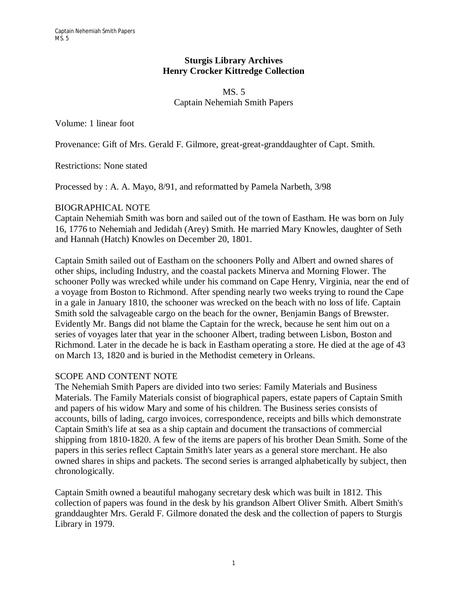### **Sturgis Library Archives Henry Crocker Kittredge Collection**

#### MS. 5 Captain Nehemiah Smith Papers

Volume: 1 linear foot

Provenance: Gift of Mrs. Gerald F. Gilmore, great-great-granddaughter of Capt. Smith.

Restrictions: None stated

Processed by : A. A. Mayo, 8/91, and reformatted by Pamela Narbeth, 3/98

### BIOGRAPHICAL NOTE

Captain Nehemiah Smith was born and sailed out of the town of Eastham. He was born on July 16, 1776 to Nehemiah and Jedidah (Arey) Smith. He married Mary Knowles, daughter of Seth and Hannah (Hatch) Knowles on December 20, 1801.

Captain Smith sailed out of Eastham on the schooners Polly and Albert and owned shares of other ships, including Industry, and the coastal packets Minerva and Morning Flower. The schooner Polly was wrecked while under his command on Cape Henry, Virginia, near the end of a voyage from Boston to Richmond. After spending nearly two weeks trying to round the Cape in a gale in January 1810, the schooner was wrecked on the beach with no loss of life. Captain Smith sold the salvageable cargo on the beach for the owner, Benjamin Bangs of Brewster. Evidently Mr. Bangs did not blame the Captain for the wreck, because he sent him out on a series of voyages later that year in the schooner Albert, trading between Lisbon, Boston and Richmond. Later in the decade he is back in Eastham operating a store. He died at the age of 43 on March 13, 1820 and is buried in the Methodist cemetery in Orleans.

## SCOPE AND CONTENT NOTE

The Nehemiah Smith Papers are divided into two series: Family Materials and Business Materials. The Family Materials consist of biographical papers, estate papers of Captain Smith and papers of his widow Mary and some of his children. The Business series consists of accounts, bills of lading, cargo invoices, correspondence, receipts and bills which demonstrate Captain Smith's life at sea as a ship captain and document the transactions of commercial shipping from 1810-1820. A few of the items are papers of his brother Dean Smith. Some of the papers in this series reflect Captain Smith's later years as a general store merchant. He also owned shares in ships and packets. The second series is arranged alphabetically by subject, then chronologically.

Captain Smith owned a beautiful mahogany secretary desk which was built in 1812. This collection of papers was found in the desk by his grandson Albert Oliver Smith. Albert Smith's granddaughter Mrs. Gerald F. Gilmore donated the desk and the collection of papers to Sturgis Library in 1979.